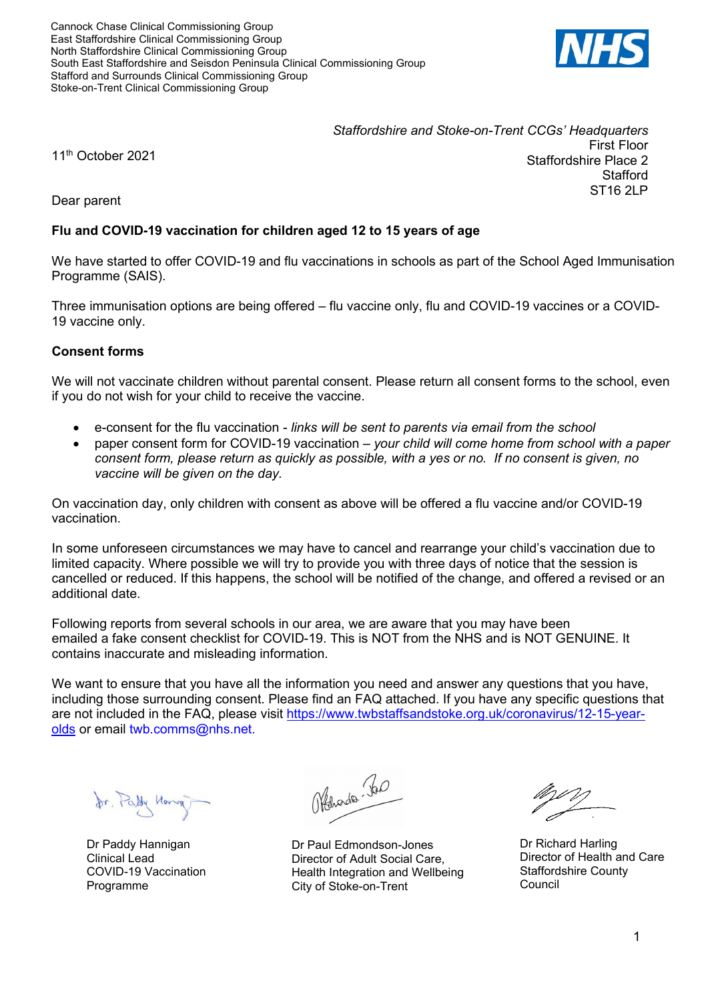

*Staffordshire and Stoke-on-Trent CCGs' Headquarters* First Floor Staffordshire Place 2 **Stafford** ST16 2LP

11<sup>th</sup> October 2021

Dear parent

# **Flu and COVID-19 vaccination for children aged 12 to 15 years of age**

We have started to offer COVID-19 and flu vaccinations in schools as part of the School Aged Immunisation Programme (SAIS).

Three immunisation options are being offered – flu vaccine only, flu and COVID-19 vaccines or a COVID-19 vaccine only.

# **Consent forms**

We will not vaccinate children without parental consent. Please return all consent forms to the school, even if you do not wish for your child to receive the vaccine.

- e-consent for the flu vaccination *links will be sent to parents via email from the school*
- paper consent form for COVID-19 vaccination *your child will come home from school with a paper consent form, please return as quickly as possible, with a yes or no. If no consent is given, no vaccine will be given on the day.*

On vaccination day, only children with consent as above will be offered a flu vaccine and/or COVID-19 vaccination.

In some unforeseen circumstances we may have to cancel and rearrange your child's vaccination due to limited capacity. Where possible we will try to provide you with three days of notice that the session is cancelled or reduced. If this happens, the school will be notified of the change, and offered a revised or an additional date.

Following reports from several schools in our area, we are aware that you may have been emailed a fake consent checklist for COVID-19. This is NOT from the NHS and is NOT GENUINE. It contains inaccurate and misleading information.

We want to ensure that you have all the information you need and answer any questions that you have, including those surrounding consent. Please find an FAQ attached. If you have any specific questions that are not included in the FAQ, please visit [https://www.twbstaffsandstoke.org.uk/coronavirus/12-15-year](https://www.twbstaffsandstoke.org.uk/coronavirus/12-15-year-olds)[olds](https://www.twbstaffsandstoke.org.uk/coronavirus/12-15-year-olds) or email twb.comms@nhs.net.

for, Parly Hong

Dr Paddy Hannigan Clinical Lead COVID-19 Vaccination Programme

Offenside be

Dr Paul Edmondson-Jones Director of Adult Social Care, Health Integration and Wellbeing City of Stoke-on-Trent

Dr Richard Harling Director of Health and Care Staffordshire County Council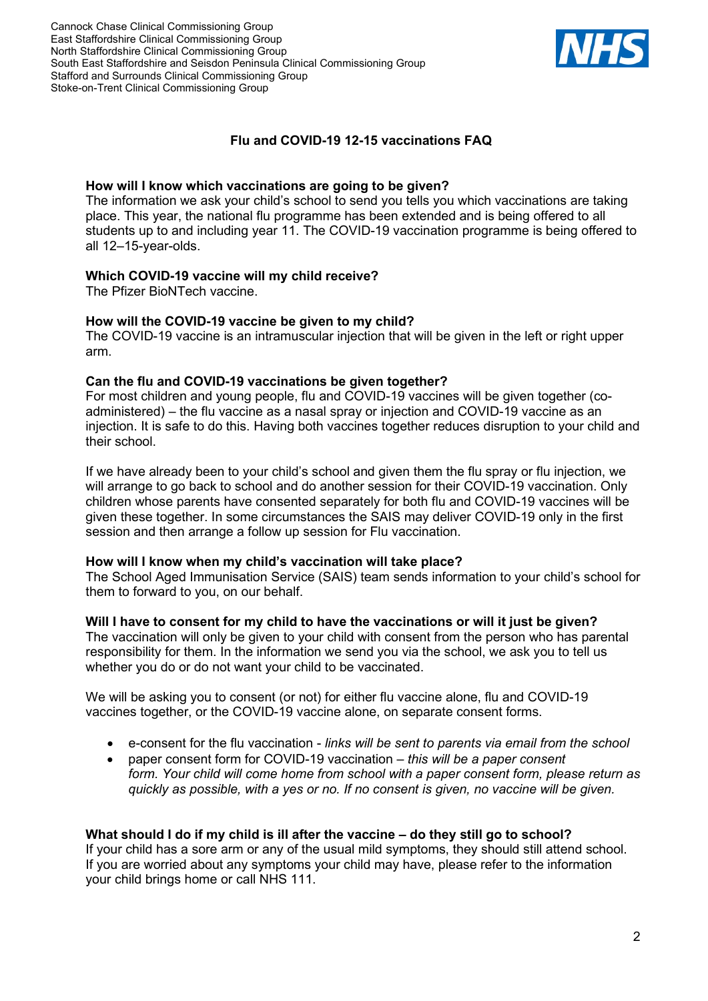

# **Flu and COVID-19 12-15 vaccinations FAQ**

#### **How will I know which vaccinations are going to be given?**

The information we ask your child's school to send you tells you which vaccinations are taking place. This year, the national flu programme has been extended and is being offered to all students up to and including year 11. The COVID-19 vaccination programme is being offered to all 12–15-year-olds.

#### **Which COVID-19 vaccine will my child receive?**

The Pfizer BioNTech vaccine.

## **How will the COVID-19 vaccine be given to my child?**

The COVID-19 vaccine is an intramuscular injection that will be given in the left or right upper arm.

#### **Can the flu and COVID-19 vaccinations be given together?**

For most children and young people, flu and COVID-19 vaccines will be given together (coadministered) – the flu vaccine as a nasal spray or injection and COVID-19 vaccine as an injection. It is safe to do this. Having both vaccines together reduces disruption to your child and their school.

If we have already been to your child's school and given them the flu spray or flu injection, we will arrange to go back to school and do another session for their COVID-19 vaccination. Only children whose parents have consented separately for both flu and COVID-19 vaccines will be given these together. In some circumstances the SAIS may deliver COVID-19 only in the first session and then arrange a follow up session for Flu vaccination.

#### **How will I know when my child's vaccination will take place?**

The School Aged Immunisation Service (SAIS) team sends information to your child's school for them to forward to you, on our behalf.

## **Will I have to consent for my child to have the vaccinations or will it just be given?**

The vaccination will only be given to your child with consent from the person who has parental responsibility for them. In the information we send you via the school, we ask you to tell us whether you do or do not want your child to be vaccinated.

We will be asking you to consent (or not) for either flu vaccine alone, flu and COVID-19 vaccines together, or the COVID-19 vaccine alone, on separate consent forms.

- e-consent for the flu vaccination *links will be sent to parents via email from the school*
- paper consent form for COVID-19 vaccination *this will be a paper consent form. Your child will come home from school with a paper consent form, please return as quickly as possible, with a yes or no. If no consent is given, no vaccine will be given.*

## **What should I do if my child is ill after the vaccine – do they still go to school?**

If your child has a sore arm or any of the usual mild symptoms, they should still attend school. If you are worried about any symptoms your child may have, please refer to the information your child brings home or call NHS 111.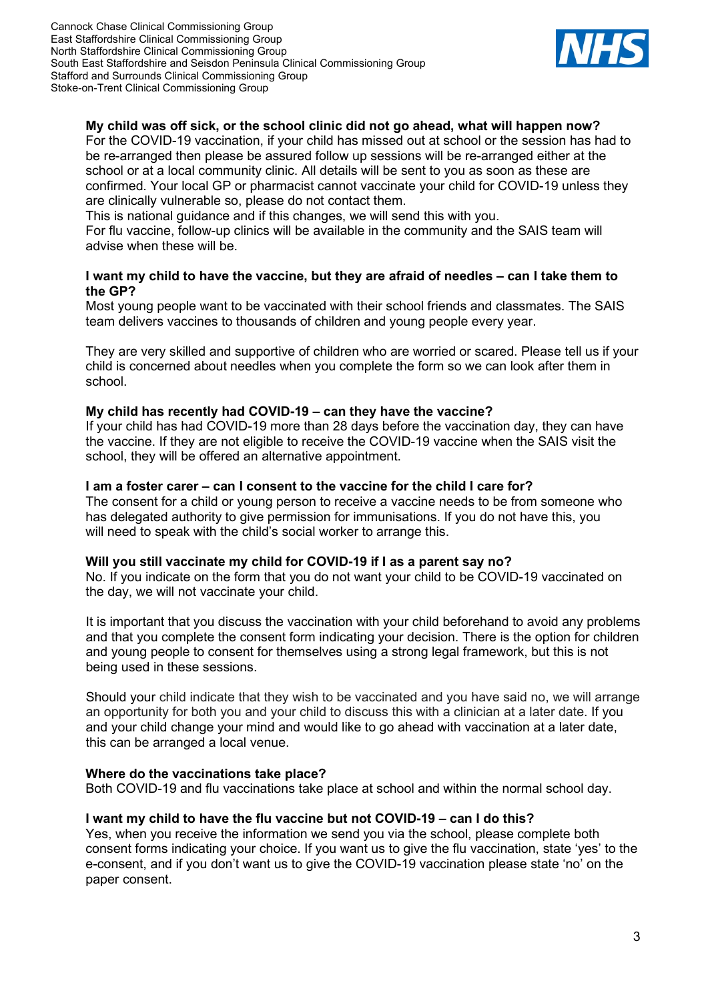Cannock Chase Clinical Commissioning Group East Staffordshire Clinical Commissioning Group North Staffordshire Clinical Commissioning Group South East Staffordshire and Seisdon Peninsula Clinical Commissioning Group Stafford and Surrounds Clinical Commissioning Group Stoke-on-Trent Clinical Commissioning Group



## **My child was off sick, or the school clinic did not go ahead, what will happen now?**

For the COVID-19 vaccination, if your child has missed out at school or the session has had to be re-arranged then please be assured follow up sessions will be re-arranged either at the school or at a local community clinic. All details will be sent to you as soon as these are confirmed. Your local GP or pharmacist cannot vaccinate your child for COVID-19 unless they are clinically vulnerable so, please do not contact them.

This is national guidance and if this changes, we will send this with you.

For flu vaccine, follow-up clinics will be available in the community and the SAIS team will advise when these will be.

#### **I want my child to have the vaccine, but they are afraid of needles – can I take them to the GP?**

Most young people want to be vaccinated with their school friends and classmates. The SAIS team delivers vaccines to thousands of children and young people every year.

They are very skilled and supportive of children who are worried or scared. Please tell us if your child is concerned about needles when you complete the form so we can look after them in school.

#### **My child has recently had COVID-19 – can they have the vaccine?**

If your child has had COVID-19 more than 28 days before the vaccination day, they can have the vaccine. If they are not eligible to receive the COVID-19 vaccine when the SAIS visit the school, they will be offered an alternative appointment.

#### **I am a foster carer – can I consent to the vaccine for the child I care for?**

The consent for a child or young person to receive a vaccine needs to be from someone who has delegated authority to give permission for immunisations. If you do not have this, you will need to speak with the child's social worker to arrange this.

#### **Will you still vaccinate my child for COVID-19 if I as a parent say no?**

No. If you indicate on the form that you do not want your child to be COVID-19 vaccinated on the day, we will not vaccinate your child.

It is important that you discuss the vaccination with your child beforehand to avoid any problems and that you complete the consent form indicating your decision. There is the option for children and young people to consent for themselves using a strong legal framework, but this is not being used in these sessions.

Should your child indicate that they wish to be vaccinated and you have said no, we will arrange an opportunity for both you and your child to discuss this with a clinician at a later date. If you and your child change your mind and would like to go ahead with vaccination at a later date, this can be arranged a local venue.

#### **Where do the vaccinations take place?**

Both COVID-19 and flu vaccinations take place at school and within the normal school day.

#### **I want my child to have the flu vaccine but not COVID-19 – can I do this?**

Yes, when you receive the information we send you via the school, please complete both consent forms indicating your choice. If you want us to give the flu vaccination, state 'yes' to the e-consent, and if you don't want us to give the COVID-19 vaccination please state 'no' on the paper consent.